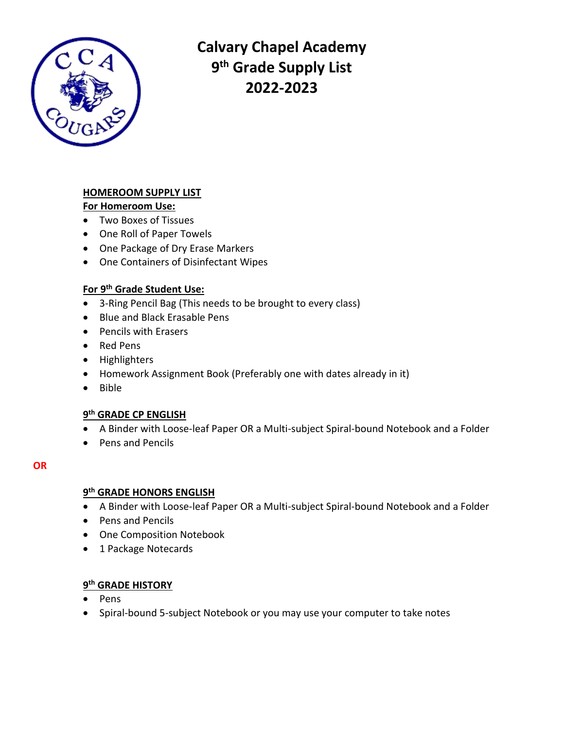

**Calvary Chapel Academy 9 th Grade Supply List 2022-2023**

# **HOMEROOM SUPPLY LIST**

**For Homeroom Use:**

- Two Boxes of Tissues
- One Roll of Paper Towels
- One Package of Dry Erase Markers
- One Containers of Disinfectant Wipes

## **For 9th Grade Student Use:**

- 3-Ring Pencil Bag (This needs to be brought to every class)
- Blue and Black Erasable Pens
- Pencils with Erasers
- Red Pens
- Highlighters
- Homework Assignment Book (Preferably one with dates already in it)
- Bible

# **9 th GRADE CP ENGLISH**

- A Binder with Loose-leaf Paper OR a Multi-subject Spiral-bound Notebook and a Folder
- Pens and Pencils

## **OR**

## **9 th GRADE HONORS ENGLISH**

- A Binder with Loose-leaf Paper OR a Multi-subject Spiral-bound Notebook and a Folder
- Pens and Pencils
- One Composition Notebook
- 1 Package Notecards

## **9 th GRADE HISTORY**

- Pens
- Spiral-bound 5-subject Notebook or you may use your computer to take notes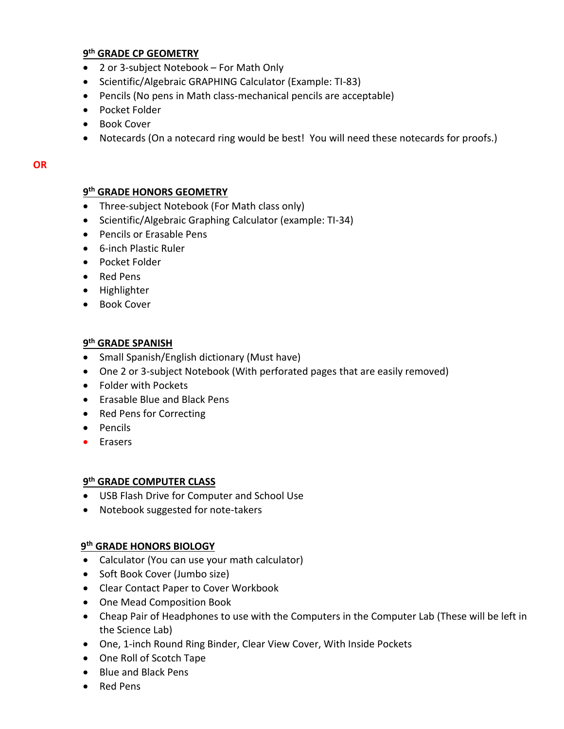## **9 th GRADE CP GEOMETRY**

- 2 or 3-subject Notebook For Math Only
- Scientific/Algebraic GRAPHING Calculator (Example: TI-83)
- Pencils (No pens in Math class-mechanical pencils are acceptable)
- Pocket Folder
- Book Cover
- Notecards (On a notecard ring would be best! You will need these notecards for proofs.)

#### **OR**

## **9 th GRADE HONORS GEOMETRY**

- Three-subject Notebook (For Math class only)
- Scientific/Algebraic Graphing Calculator (example: TI-34)
- Pencils or Erasable Pens
- 6-inch Plastic Ruler
- Pocket Folder
- Red Pens
- Highlighter
- Book Cover

## **9 th GRADE SPANISH**

- Small Spanish/English dictionary (Must have)
- One 2 or 3-subject Notebook (With perforated pages that are easily removed)
- Folder with Pockets
- Erasable Blue and Black Pens
- Red Pens for Correcting
- Pencils
- **•** Erasers

## **9 th GRADE COMPUTER CLASS**

- USB Flash Drive for Computer and School Use
- Notebook suggested for note-takers

# **9 th GRADE HONORS BIOLOGY**

- Calculator (You can use your math calculator)
- Soft Book Cover (Jumbo size)
- Clear Contact Paper to Cover Workbook
- One Mead Composition Book
- Cheap Pair of Headphones to use with the Computers in the Computer Lab (These will be left in the Science Lab)
- One, 1-inch Round Ring Binder, Clear View Cover, With Inside Pockets
- One Roll of Scotch Tape
- Blue and Black Pens
- Red Pens